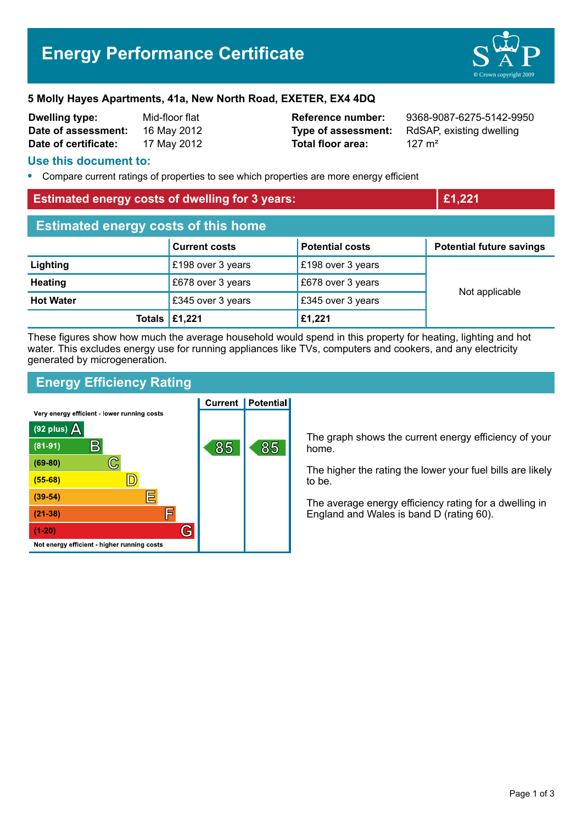# **Energy Performance Certificate**



#### **5 Molly Hayes Apartments, 41a, New North Road, EXETER, EX4 4DQ**

| <b>Dwelling type:</b> | Mid-floor flat |
|-----------------------|----------------|
| Date of assessment:   | 16 May 2012    |
| Date of certificate:  | 17 May 2012    |

**Total floor area:** 127 m<sup>2</sup>

**Reference number:** 9368-9087-6275-5142-9950 **Type of assessment:** RdSAP, existing dwelling

#### **Use this document to:**

**•** Compare current ratings of properties to see which properties are more energy efficient

#### **Estimated energy costs of dwelling for 3 years: £1,221**

| <b>Estimated energy costs of this home</b> |                                       |                        |                                 |  |  |
|--------------------------------------------|---------------------------------------|------------------------|---------------------------------|--|--|
|                                            | <b>Current costs</b>                  | <b>Potential costs</b> | <b>Potential future savings</b> |  |  |
| Lighting                                   | £198 over 3 years                     | £198 over 3 years      |                                 |  |  |
| <b>Heating</b>                             | £678 over 3 years                     | £678 over 3 years      |                                 |  |  |
| <b>Hot Water</b>                           | £345 over 3 years                     | £345 over 3 years      | Not applicable                  |  |  |
|                                            | Totals $\left  \pounds 1,221 \right $ | £1,221                 |                                 |  |  |

These figures show how much the average household would spend in this property for heating, lighting and hot water. This excludes energy use for running appliances like TVs, computers and cookers, and any electricity generated by microgeneration.

# **Energy Efficiency Rating**

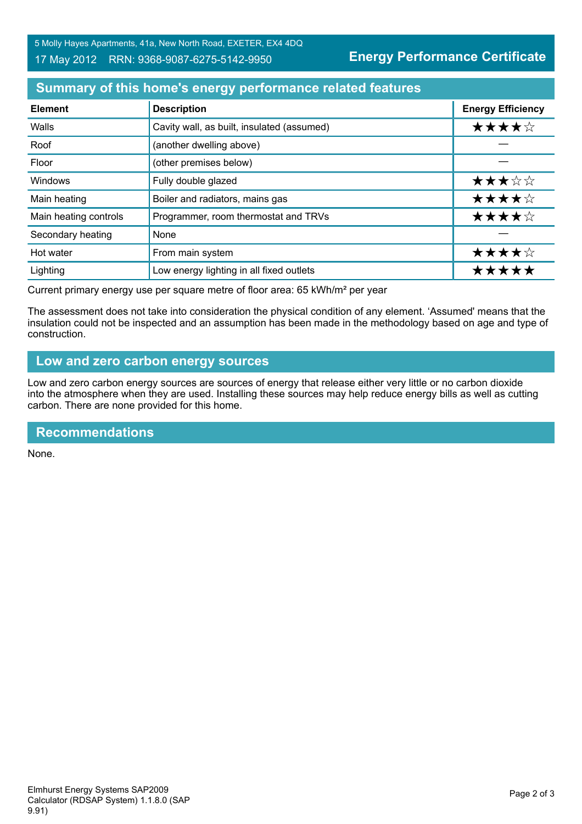**Energy Performance Certificate**

# **Summary of this home's energy performance related features**

| <b>Element</b>        | <b>Description</b>                         | <b>Energy Efficiency</b> |
|-----------------------|--------------------------------------------|--------------------------|
| Walls                 | Cavity wall, as built, insulated (assumed) | ★★★★☆                    |
| Roof                  | (another dwelling above)                   |                          |
| Floor                 | (other premises below)                     |                          |
| Windows               | Fully double glazed                        | ★★★☆☆                    |
| Main heating          | Boiler and radiators, mains gas            | ★★★★☆                    |
| Main heating controls | Programmer, room thermostat and TRVs       | ★★★★☆                    |
| Secondary heating     | None                                       |                          |
| Hot water             | From main system                           | ★★★★☆                    |
| Lighting              | Low energy lighting in all fixed outlets   | *****                    |

Current primary energy use per square metre of floor area: 65 kWh/m² per year

The assessment does not take into consideration the physical condition of any element. 'Assumed' means that the insulation could not be inspected and an assumption has been made in the methodology based on age and type of construction.

## **Low and zero carbon energy sources**

Low and zero carbon energy sources are sources of energy that release either very little or no carbon dioxide into the atmosphere when they are used. Installing these sources may help reduce energy bills as well as cutting carbon. There are none provided for this home.

# **Recommendations**

None.